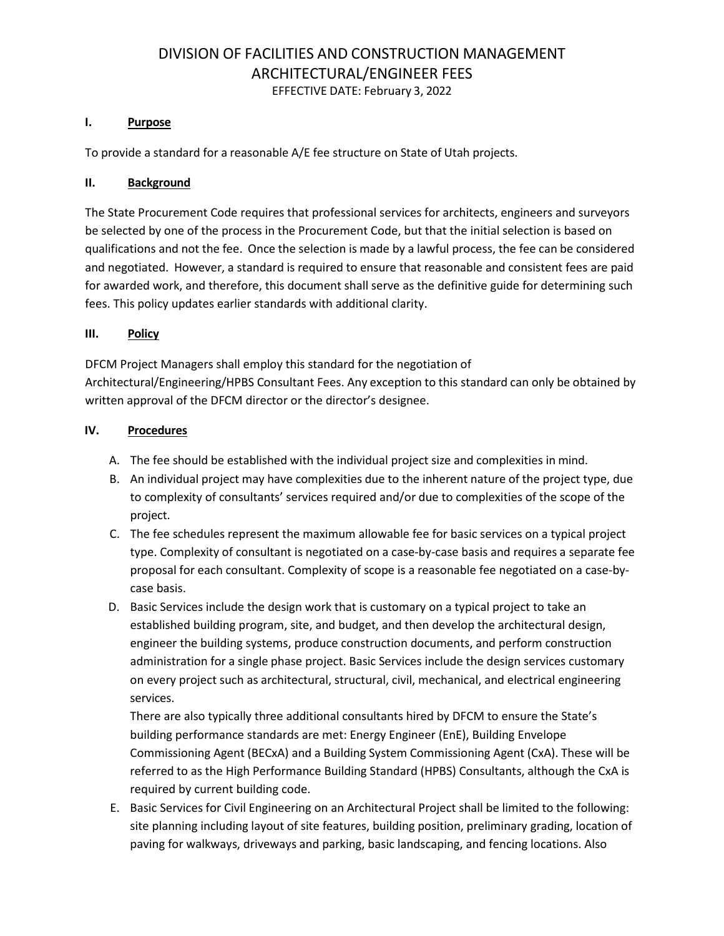# DIVISION OF FACILITIES AND CONSTRUCTION MANAGEMENT ARCHITECTURAL/ENGINEER FEES

## EFFECTIVE DATE: February 3, 2022

### **I. Purpose**

To provide a standard for a reasonable A/E fee structure on State of Utah projects.

## **II. Background**

The State Procurement Code requires that professional services for architects, engineers and surveyors be selected by one of the process in the Procurement Code, but that the initial selection is based on qualifications and not the fee. Once the selection is made by a lawful process, the fee can be considered and negotiated. However, a standard is required to ensure that reasonable and consistent fees are paid for awarded work, and therefore, this document shall serve as the definitive guide for determining such fees. This policy updates earlier standards with additional clarity.

### **III. Policy**

DFCM Project Managers shall employ this standard for the negotiation of Architectural/Engineering/HPBS Consultant Fees. Any exception to this standard can only be obtained by written approval of the DFCM director or the director's designee.

### **IV. Procedures**

- A. The fee should be established with the individual project size and complexities in mind.
- B. An individual project may have complexities due to the inherent nature of the project type, due to complexity of consultants' services required and/or due to complexities of the scope of the project.
- C. The fee schedules represent the maximum allowable fee for basic services on a typical project type. Complexity of consultant is negotiated on a case-by-case basis and requires a separate fee proposal for each consultant. Complexity of scope is a reasonable fee negotiated on a case-bycase basis.
- D. Basic Services include the design work that is customary on a typical project to take an established building program, site, and budget, and then develop the architectural design, engineer the building systems, produce construction documents, and perform construction administration for a single phase project. Basic Services include the design services customary on every project such as architectural, structural, civil, mechanical, and electrical engineering services.

There are also typically three additional consultants hired by DFCM to ensure the State's building performance standards are met: Energy Engineer (EnE), Building Envelope Commissioning Agent (BECxA) and a Building System Commissioning Agent (CxA). These will be referred to as the High Performance Building Standard (HPBS) Consultants, although the CxA is required by current building code.

E. Basic Services for Civil Engineering on an Architectural Project shall be limited to the following: site planning including layout of site features, building position, preliminary grading, location of paving for walkways, driveways and parking, basic landscaping, and fencing locations. Also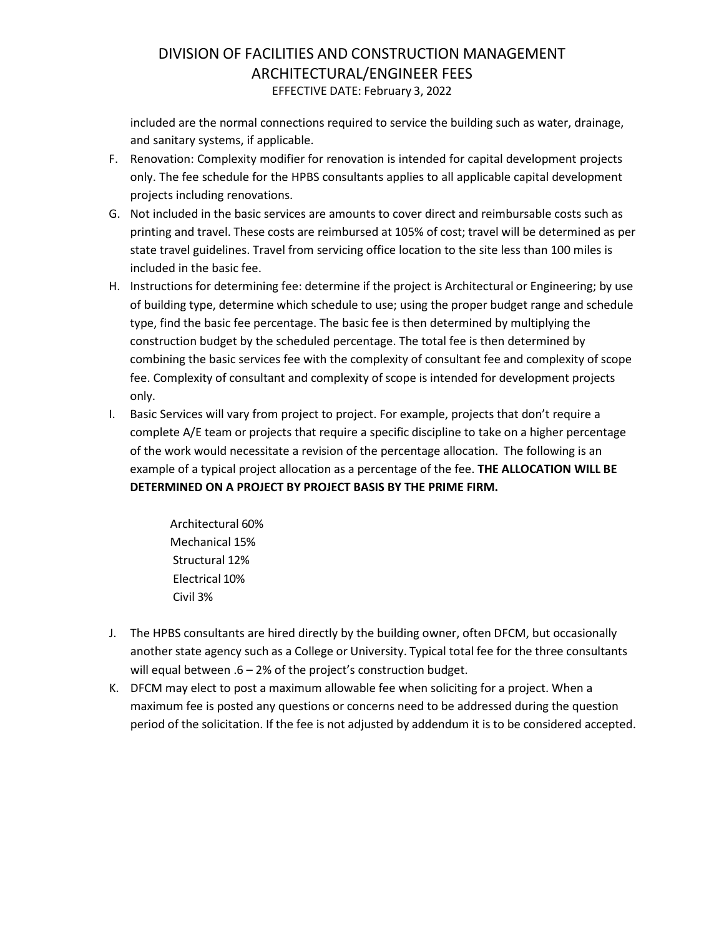## DIVISION OF FACILITIES AND CONSTRUCTION MANAGEMENT ARCHITECTURAL/ENGINEER FEES EFFECTIVE DATE: February 3, 2022

included are the normal connections required to service the building such as water, drainage, and sanitary systems, if applicable.

- F. Renovation: Complexity modifier for renovation is intended for capital development projects only. The fee schedule for the HPBS consultants applies to all applicable capital development projects including renovations.
- G. Not included in the basic services are amounts to cover direct and reimbursable costs such as printing and travel. These costs are reimbursed at 105% of cost; travel will be determined as per state travel guidelines. Travel from servicing office location to the site less than 100 miles is included in the basic fee.
- H. Instructions for determining fee: determine if the project is Architectural or Engineering; by use of building type, determine which schedule to use; using the proper budget range and schedule type, find the basic fee percentage. The basic fee is then determined by multiplying the construction budget by the scheduled percentage. The total fee is then determined by combining the basic services fee with the complexity of consultant fee and complexity of scope fee. Complexity of consultant and complexity of scope is intended for development projects only.
- I. Basic Services will vary from project to project. For example, projects that don't require a complete A/E team or projects that require a specific discipline to take on a higher percentage of the work would necessitate a revision of the percentage allocation. The following is an example of a typical project allocation as a percentage of the fee. **THE ALLOCATION WILL BE DETERMINED ON A PROJECT BY PROJECT BASIS BY THE PRIME FIRM.**

Architectural 60% Mechanical 15% Structural 12% Electrical 10% Civil 3%

- J. The HPBS consultants are hired directly by the building owner, often DFCM, but occasionally another state agency such as a College or University. Typical total fee for the three consultants will equal between .6 – 2% of the project's construction budget.
- K. DFCM may elect to post a maximum allowable fee when soliciting for a project. When a maximum fee is posted any questions or concerns need to be addressed during the question period of the solicitation. If the fee is not adjusted by addendum it is to be considered accepted.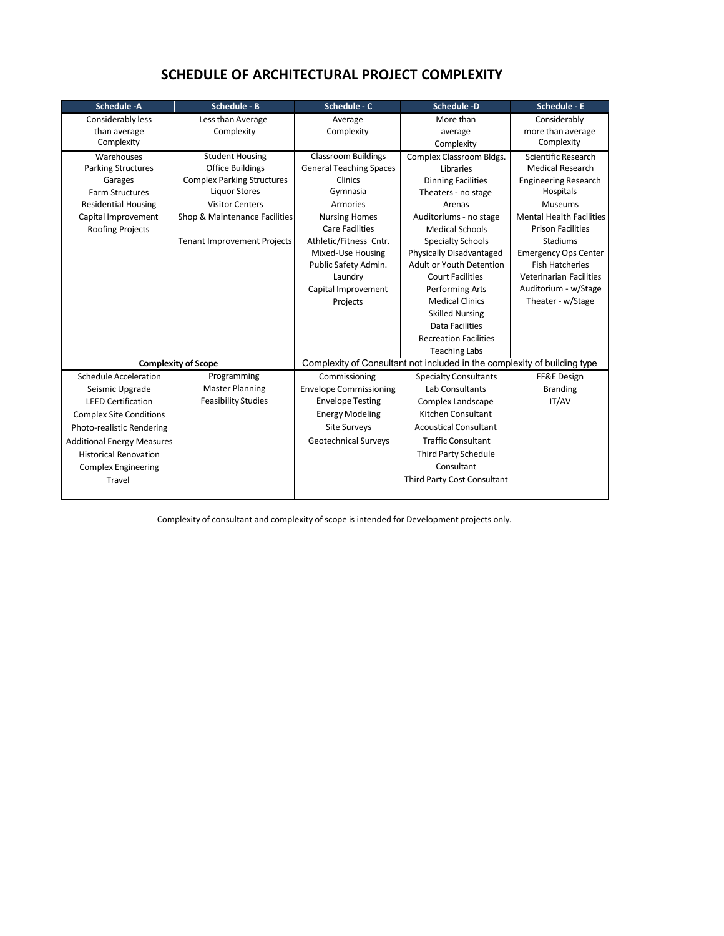| <b>Schedule -A</b>                | <b>Schedule - B</b>                | Schedule - C                                                             | <b>Schedule -D</b>           | <b>Schedule - E</b>             |  |
|-----------------------------------|------------------------------------|--------------------------------------------------------------------------|------------------------------|---------------------------------|--|
| Considerably less                 | Less than Average                  | Average                                                                  | More than                    | Considerably                    |  |
| than average                      | Complexity                         | Complexity                                                               | average                      | more than average               |  |
| Complexity                        |                                    |                                                                          | Complexity                   | Complexity                      |  |
| Warehouses                        | <b>Student Housing</b>             | <b>Classroom Buildings</b>                                               | Complex Classroom Bldgs.     | Scientific Research             |  |
| <b>Parking Structures</b>         | <b>Office Buildings</b>            | <b>General Teaching Spaces</b>                                           | Libraries                    | <b>Medical Research</b>         |  |
| Garages                           | <b>Complex Parking Structures</b>  | Clinics                                                                  | <b>Dinning Facilities</b>    | <b>Engineering Research</b>     |  |
| <b>Farm Structures</b>            | <b>Liquor Stores</b>               | Gymnasia                                                                 | Theaters - no stage          | Hospitals                       |  |
| <b>Residential Housing</b>        | <b>Visitor Centers</b>             | Armories                                                                 | Arenas                       | <b>Museums</b>                  |  |
| Capital Improvement               | Shop & Maintenance Facilities      | <b>Nursing Homes</b>                                                     | Auditoriums - no stage       | <b>Mental Health Facilities</b> |  |
| Roofing Projects                  |                                    | <b>Care Facilities</b>                                                   | <b>Medical Schools</b>       | <b>Prison Facilities</b>        |  |
|                                   | <b>Tenant Improvement Projects</b> | Athletic/Fitness Cntr.                                                   | <b>Specialty Schools</b>     | Stadiums                        |  |
|                                   |                                    | Mixed-Use Housing                                                        | Physically Disadvantaged     | <b>Emergency Ops Center</b>     |  |
|                                   |                                    | Public Safety Admin.                                                     | Adult or Youth Detention     | <b>Fish Hatcheries</b>          |  |
|                                   |                                    | Laundry                                                                  | <b>Court Facilities</b>      | <b>Veterinarian Facilities</b>  |  |
|                                   |                                    | Capital Improvement                                                      | Performing Arts              | Auditorium - w/Stage            |  |
|                                   |                                    | Projects                                                                 | <b>Medical Clinics</b>       | Theater - w/Stage               |  |
|                                   |                                    |                                                                          | <b>Skilled Nursing</b>       |                                 |  |
|                                   |                                    |                                                                          | <b>Data Facilities</b>       |                                 |  |
|                                   |                                    |                                                                          | <b>Recreation Facilities</b> |                                 |  |
|                                   |                                    |                                                                          | <b>Teaching Labs</b>         |                                 |  |
|                                   | <b>Complexity of Scope</b>         | Complexity of Consultant not included in the complexity of building type |                              |                                 |  |
| <b>Schedule Acceleration</b>      | Programming                        | Commissioning                                                            | <b>Specialty Consultants</b> | FF&E Design                     |  |
| Seismic Upgrade                   | <b>Master Planning</b>             | <b>Envelope Commissioning</b>                                            | Lab Consultants              | <b>Branding</b>                 |  |
| <b>LEED Certification</b>         | <b>Feasibility Studies</b>         | <b>Envelope Testing</b>                                                  | Complex Landscape            | IT/AV                           |  |
| <b>Complex Site Conditions</b>    |                                    | <b>Energy Modeling</b>                                                   | Kitchen Consultant           |                                 |  |
| Photo-realistic Rendering         |                                    | Site Surveys                                                             | <b>Acoustical Consultant</b> |                                 |  |
| <b>Additional Energy Measures</b> |                                    | <b>Geotechnical Surveys</b>                                              | <b>Traffic Consultant</b>    |                                 |  |
| <b>Historical Renovation</b>      |                                    |                                                                          | <b>Third Party Schedule</b>  |                                 |  |
| <b>Complex Engineering</b>        |                                    |                                                                          | Consultant                   |                                 |  |
| Travel                            |                                    |                                                                          | Third Party Cost Consultant  |                                 |  |
|                                   |                                    |                                                                          |                              |                                 |  |

## **SCHEDULE OF ARCHITECTURAL PROJECT COMPLEXITY**

Complexity of consultant and complexity of scope is intended for Development projects only.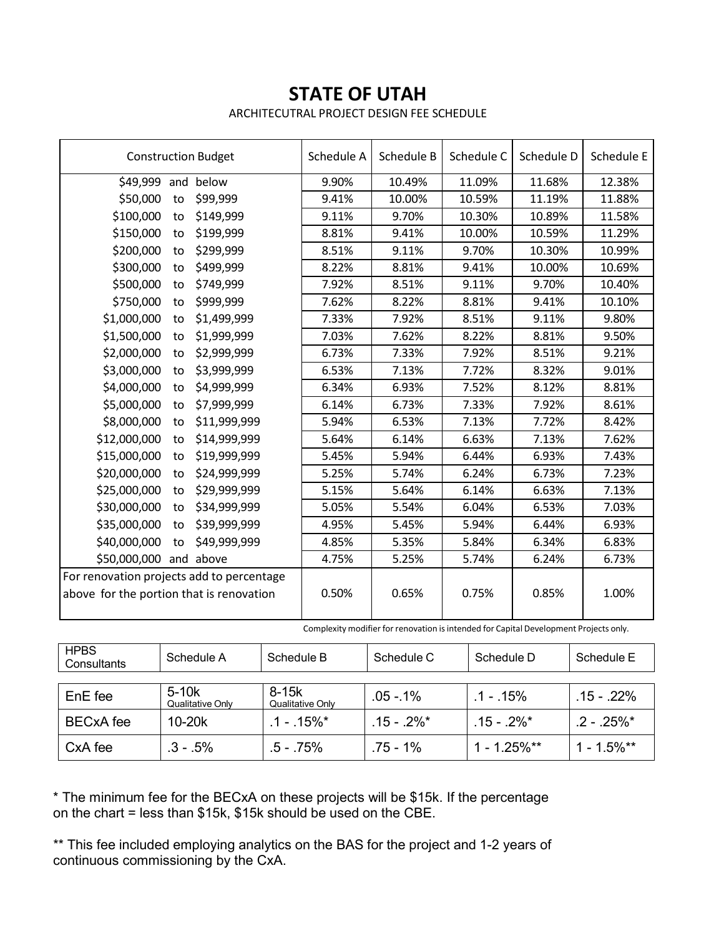## **STATE OF UTAH**

ARCHITECUTRAL PROJECT DESIGN FEE SCHEDULE

| <b>Construction Budget</b>                                                            |    | Schedule A   | Schedule B | Schedule C | Schedule D | Schedule E |        |
|---------------------------------------------------------------------------------------|----|--------------|------------|------------|------------|------------|--------|
| \$49,999 and                                                                          |    | below        | 9.90%      | 10.49%     | 11.09%     | 11.68%     | 12.38% |
| \$50,000                                                                              | to | \$99,999     | 9.41%      | 10.00%     | 10.59%     | 11.19%     | 11.88% |
| \$100,000                                                                             | to | \$149,999    | 9.11%      | 9.70%      | 10.30%     | 10.89%     | 11.58% |
| \$150,000                                                                             | to | \$199,999    | 8.81%      | 9.41%      | 10.00%     | 10.59%     | 11.29% |
| \$200,000                                                                             | to | \$299,999    | 8.51%      | 9.11%      | 9.70%      | 10.30%     | 10.99% |
| \$300,000                                                                             | to | \$499,999    | 8.22%      | 8.81%      | 9.41%      | 10.00%     | 10.69% |
| \$500,000                                                                             | to | \$749,999    | 7.92%      | 8.51%      | 9.11%      | 9.70%      | 10.40% |
| \$750,000                                                                             | to | \$999,999    | 7.62%      | 8.22%      | 8.81%      | 9.41%      | 10.10% |
| \$1,000,000                                                                           | to | \$1,499,999  | 7.33%      | 7.92%      | 8.51%      | 9.11%      | 9.80%  |
| \$1,500,000                                                                           | to | \$1,999,999  | 7.03%      | 7.62%      | 8.22%      | 8.81%      | 9.50%  |
| \$2,000,000                                                                           | to | \$2,999,999  | 6.73%      | 7.33%      | 7.92%      | 8.51%      | 9.21%  |
| \$3,000,000                                                                           | to | \$3,999,999  | 6.53%      | 7.13%      | 7.72%      | 8.32%      | 9.01%  |
| \$4,000,000                                                                           | to | \$4,999,999  | 6.34%      | 6.93%      | 7.52%      | 8.12%      | 8.81%  |
| \$5,000,000                                                                           | to | \$7,999,999  | 6.14%      | 6.73%      | 7.33%      | 7.92%      | 8.61%  |
| \$8,000,000                                                                           | to | \$11,999,999 | 5.94%      | 6.53%      | 7.13%      | 7.72%      | 8.42%  |
| \$12,000,000                                                                          | to | \$14,999,999 | 5.64%      | 6.14%      | 6.63%      | 7.13%      | 7.62%  |
| \$15,000,000                                                                          | to | \$19,999,999 | 5.45%      | 5.94%      | 6.44%      | 6.93%      | 7.43%  |
| \$20,000,000                                                                          | to | \$24,999,999 | 5.25%      | 5.74%      | 6.24%      | 6.73%      | 7.23%  |
| \$25,000,000                                                                          | to | \$29,999,999 | 5.15%      | 5.64%      | 6.14%      | 6.63%      | 7.13%  |
| \$30,000,000                                                                          | to | \$34,999,999 | 5.05%      | 5.54%      | 6.04%      | 6.53%      | 7.03%  |
| \$35,000,000                                                                          | to | \$39,999,999 | 4.95%      | 5.45%      | 5.94%      | 6.44%      | 6.93%  |
| \$40,000,000                                                                          | to | \$49,999,999 | 4.85%      | 5.35%      | 5.84%      | 6.34%      | 6.83%  |
| \$50,000,000 and above                                                                |    |              | 4.75%      | 5.25%      | 5.74%      | 6.24%      | 6.73%  |
| For renovation projects add to percentage<br>above for the portion that is renovation |    | 0.50%        | 0.65%      | 0.75%      | 0.85%      | 1.00%      |        |

Complexity modifier for renovation is intended for Capital Development Projects only.

| <b>HPBS</b><br>Consultants | Schedule A                  | Schedule B                | Schedule C     | Schedule D      | Schedule E    |
|----------------------------|-----------------------------|---------------------------|----------------|-----------------|---------------|
|                            |                             |                           |                |                 |               |
| EnE fee                    | $5-10k$<br>Qualitative Only | 8-15k<br>Qualitative Only | $.05 - 1\%$    | $.1 - 15\%$     | $.15 - .22\%$ |
| <b>BECxA</b> fee           | $10-20k$                    | $1 - 15\%$ <sup>*</sup>   | $.15 - .2\%$ * | $15 - 2\%$ *    | $2 - 25\%$ *  |
| CxA fee                    | $.3 - .5\%$                 | $.5 - .75%$               | .75 - 1%       | $1 - 1.25\%$ ** | $1 - 1.5%$ ** |

\* The minimum fee for the BECxA on these projects will be \$15k. If the percentage on the chart = less than \$15k, \$15k should be used on the CBE.

\*\* This fee included employing analytics on the BAS for the project and 1-2 years of continuous commissioning by the CxA.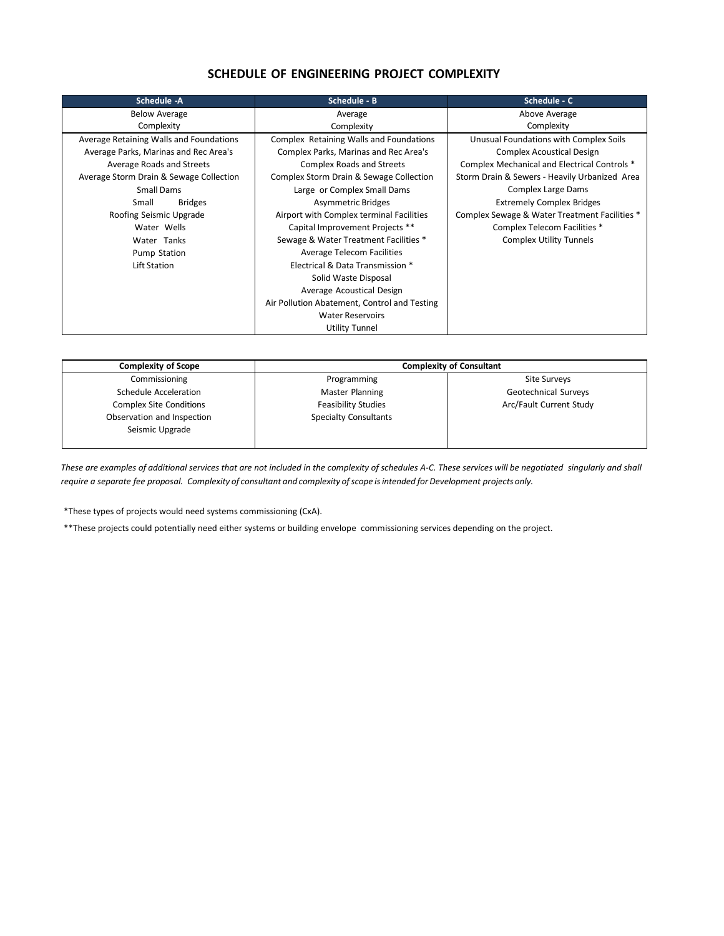### **SCHEDULE OF ENGINEERING PROJECT COMPLEXITY**

| Schedule -A                             | Schedule - B                                 | Schedule - C                                  |
|-----------------------------------------|----------------------------------------------|-----------------------------------------------|
| <b>Below Average</b>                    | Average                                      | Above Average                                 |
| Complexity                              | Complexity                                   | Complexity                                    |
| Average Retaining Walls and Foundations | Complex Retaining Walls and Foundations      | Unusual Foundations with Complex Soils        |
| Average Parks, Marinas and Rec Area's   | Complex Parks, Marinas and Rec Area's        | <b>Complex Acoustical Design</b>              |
| Average Roads and Streets               | <b>Complex Roads and Streets</b>             | Complex Mechanical and Electrical Controls *  |
| Average Storm Drain & Sewage Collection | Complex Storm Drain & Sewage Collection      | Storm Drain & Sewers - Heavily Urbanized Area |
| Small Dams                              | Large or Complex Small Dams                  | <b>Complex Large Dams</b>                     |
| <b>Bridges</b><br>Small                 | <b>Asymmetric Bridges</b>                    | <b>Extremely Complex Bridges</b>              |
| Roofing Seismic Upgrade                 | Airport with Complex terminal Facilities     | Complex Sewage & Water Treatment Facilities * |
| Water Wells                             | Capital Improvement Projects **              | Complex Telecom Facilities *                  |
| Water Tanks                             | Sewage & Water Treatment Facilities *        | <b>Complex Utility Tunnels</b>                |
| Pump Station                            | Average Telecom Facilities                   |                                               |
| Lift Station                            | Electrical & Data Transmission *             |                                               |
|                                         | Solid Waste Disposal                         |                                               |
|                                         | Average Acoustical Design                    |                                               |
|                                         | Air Pollution Abatement, Control and Testing |                                               |
|                                         | <b>Water Reservoirs</b>                      |                                               |
|                                         | Utility Tunnel                               |                                               |

| <b>Complexity of Scope</b>                    | <b>Complexity of Consultant</b> |                         |  |  |
|-----------------------------------------------|---------------------------------|-------------------------|--|--|
| Commissioning                                 | Programming                     | Site Surveys            |  |  |
| Schedule Acceleration                         | Master Planning                 | Geotechnical Surveys    |  |  |
| <b>Complex Site Conditions</b>                | <b>Feasibility Studies</b>      | Arc/Fault Current Study |  |  |
| Observation and Inspection<br>Seismic Upgrade | <b>Specialty Consultants</b>    |                         |  |  |

*These are examples of additional services that are not included in the complexity of schedules A‐C. These services will be negotiated singularly and shall require a separate fee proposal. Complexity of consultant and complexity ofscope isintended forDevelopment projects only.*

\*These types of projects would need systems commissioning (CxA).

\*\*These projects could potentially need either systems or building envelope commissioning services depending on the project.